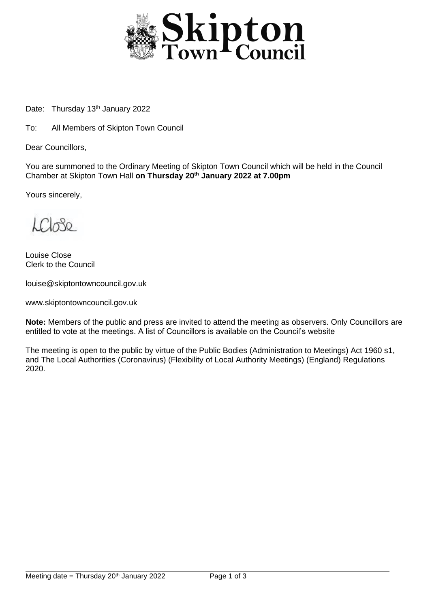

Date: Thursday 13<sup>th</sup> January 2022

To: All Members of Skipton Town Council

Dear Councillors,

You are summoned to the Ordinary Meeting of Skipton Town Council which will be held in the Council Chamber at Skipton Town Hall **on Thursday 20th January 2022 at 7.00pm**

Yours sincerely,

LCL30

Louise Close Clerk to the Council

louise@skiptontowncouncil.gov.uk

www.skiptontowncouncil.gov.uk

**Note:** Members of the public and press are invited to attend the meeting as observers. Only Councillors are entitled to vote at the meetings. A list of Councillors is available on the Council's website

The meeting is open to the public by virtue of the Public Bodies (Administration to Meetings) Act 1960 s1, and The Local Authorities (Coronavirus) (Flexibility of Local Authority Meetings) (England) Regulations 2020.

j.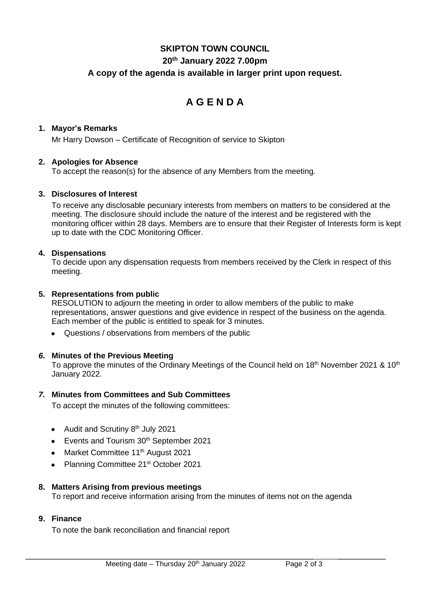## **SKIPTON TOWN COUNCIL 20th January 2022 7.00pm**

## **A copy of the agenda is available in larger print upon request.**

# **A G E N D A**

#### **1. Mayor's Remarks**

Mr Harry Dowson – Certificate of Recognition of service to Skipton

#### **2. Apologies for Absence**

To accept the reason(s) for the absence of any Members from the meeting.

#### **3. Disclosures of Interest**

To receive any disclosable pecuniary interests from members on matters to be considered at the meeting. The disclosure should include the nature of the interest and be registered with the monitoring officer within 28 days. Members are to ensure that their Register of Interests form is kept up to date with the CDC Monitoring Officer.

#### **4. Dispensations**

To decide upon any dispensation requests from members received by the Clerk in respect of this meeting.

#### **5. Representations from public**

RESOLUTION to adjourn the meeting in order to allow members of the public to make representations, answer questions and give evidence in respect of the business on the agenda. Each member of the public is entitled to speak for 3 minutes.

• Questions / observations from members of the public

## *6.* **Minutes of the Previous Meeting**

To approve the minutes of the Ordinary Meetings of the Council held on 18<sup>th</sup> November 2021 & 10<sup>th</sup> January 2022.

#### *7.* **Minutes from Committees and Sub Committees**

To accept the minutes of the following committees:

- Audit and Scrutiny 8<sup>th</sup> July 2021
- Events and Tourism 30<sup>th</sup> September 2021
- Market Committee 11<sup>th</sup> August 2021
- Planning Committee 21<sup>st</sup> October 2021

#### **8. Matters Arising from previous meetings**

To report and receive information arising from the minutes of items not on the agenda

## **9. Finance**

To note the bank reconciliation and financial report